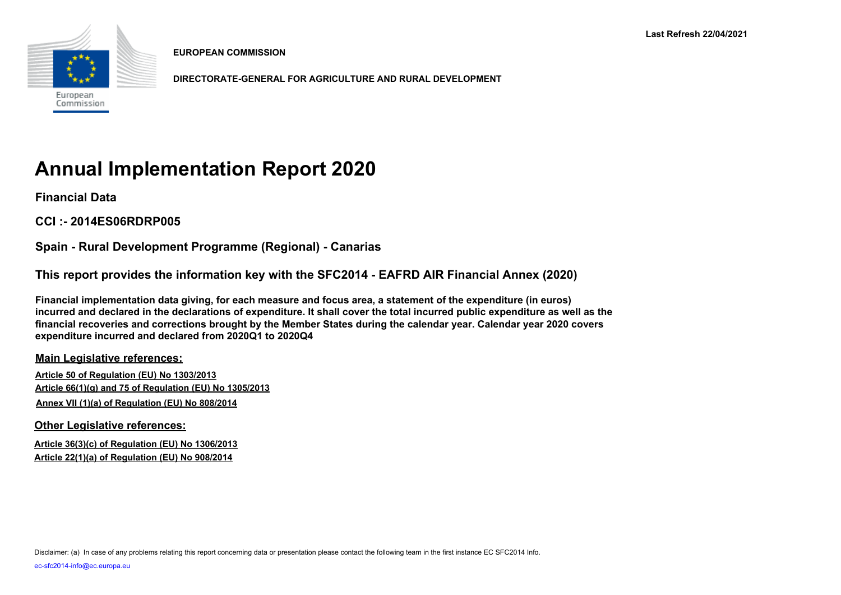

**EUROPEAN COMMISSION**

**DIRECTORATE-GENERAL FOR AGRICULTURE AND RURAL DEVELOPMENT**

# **Annual Implementation Report 2020**

**Financial Data**

**CCI :- 2014ES06RDRP005**

**Spain - Rural Development Programme (Regional) - Canarias**

**This report provides the information key with the SFC2014 - EAFRD AIR Financial Annex (2020)** 

**Financial implementation data giving, for each measure and focus area, a statement of the expenditure (in euros) incurred and declared in the declarations of expenditure. It shall cover the total incurred public expenditure as well as the financial recoveries and corrections brought by the Member States during the calendar year. Calendar year 2020 covers expenditure incurred and declared from 2020Q1 to 2020Q4**

**Main Legislative references:**

**Article 50 of Regulation (EU) No 1303/2013 Article 66(1)(g) and 75 of Regulation (EU) No 1305/2013 Annex VII (1)(a) of Regulation (EU) No 808/2014**

**Other Legislative references:**

**Article 36(3)(c) of Regulation (EU) No 1306/2013 Article 22(1)(a) of Regulation (EU) No 908/2014**

Disclaimer: (a) In case of any problems relating this report concerning data or presentation please contact the following team in the first instance EC SFC2014 Info.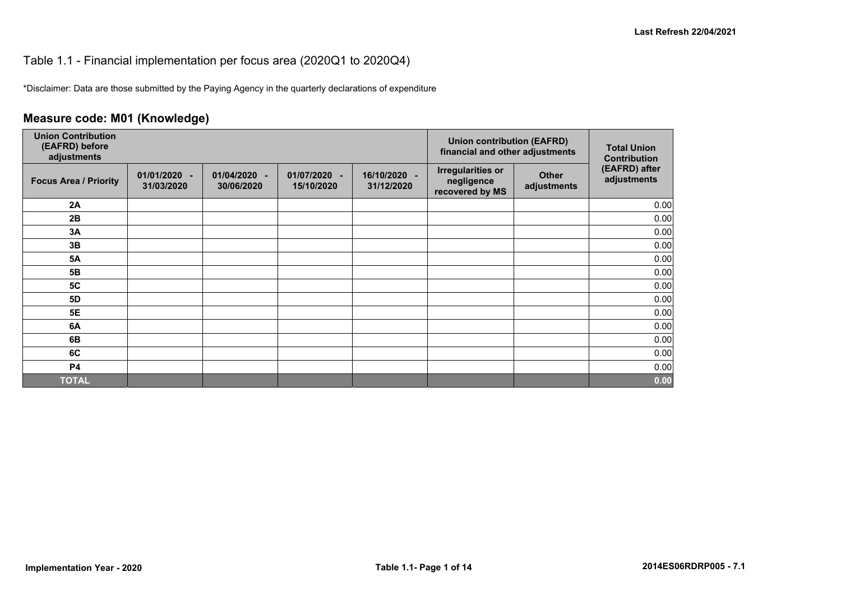#### Table 1.1 - Financial implementation per focus area (2020Q1 to 2020Q4)

\*Disclaimer: Data are those submitted by the Paying Agency in the quarterly declarations of expenditure

## **Measure code: M01 (Knowledge)**

| <b>Union Contribution</b><br>(EAFRD) before<br>adjustments |                              |                                            |                            | <b>Union contribution (EAFRD)</b><br>financial and other adjustments | <b>Total Union</b><br><b>Contribution</b>                 |                             |                              |
|------------------------------------------------------------|------------------------------|--------------------------------------------|----------------------------|----------------------------------------------------------------------|-----------------------------------------------------------|-----------------------------|------------------------------|
| <b>Focus Area / Priority</b>                               | $01/01/2020 -$<br>31/03/2020 | 01/04/2020<br>$\blacksquare$<br>30/06/2020 | 01/07/2020 -<br>15/10/2020 | 16/10/2020 -<br>31/12/2020                                           | <b>Irregularities or</b><br>negligence<br>recovered by MS | <b>Other</b><br>adjustments | (EAFRD) after<br>adjustments |
| 2A                                                         |                              |                                            |                            |                                                                      |                                                           |                             | 0.00                         |
| 2B                                                         |                              |                                            |                            |                                                                      |                                                           |                             | 0.00                         |
| 3A                                                         |                              |                                            |                            |                                                                      |                                                           |                             | 0.00                         |
| 3B                                                         |                              |                                            |                            |                                                                      |                                                           |                             | 0.00                         |
| <b>5A</b>                                                  |                              |                                            |                            |                                                                      |                                                           |                             | 0.00                         |
| 5 <b>B</b>                                                 |                              |                                            |                            |                                                                      |                                                           |                             | 0.00                         |
| <b>5C</b>                                                  |                              |                                            |                            |                                                                      |                                                           |                             | 0.00                         |
| 5D                                                         |                              |                                            |                            |                                                                      |                                                           |                             | 0.00                         |
| <b>5E</b>                                                  |                              |                                            |                            |                                                                      |                                                           |                             | 0.00                         |
| 6A                                                         |                              |                                            |                            |                                                                      |                                                           |                             | 0.00                         |
| 6B                                                         |                              |                                            |                            |                                                                      |                                                           |                             | 0.00                         |
| 6C                                                         |                              |                                            |                            |                                                                      |                                                           |                             | 0.00                         |
| <b>P4</b>                                                  |                              |                                            |                            |                                                                      |                                                           |                             | 0.00                         |
| <b>TOTAL</b>                                               |                              |                                            |                            |                                                                      |                                                           |                             | 0.00                         |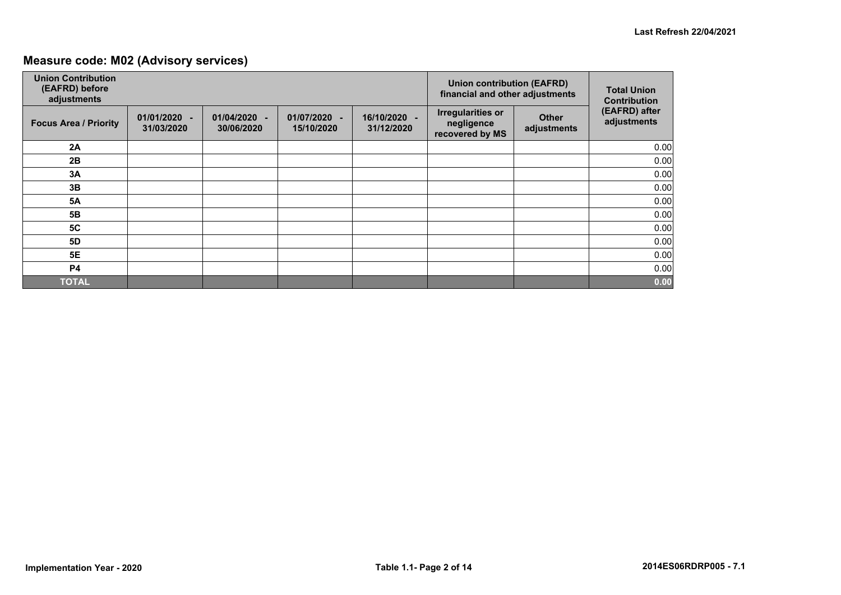## **Measure code: M02 (Advisory services)**

| <b>Union Contribution</b><br>(EAFRD) before<br>adjustments |                            |                                    |                            | <b>Union contribution (EAFRD)</b><br>financial and other adjustments | <b>Total Union</b><br><b>Contribution</b>                 |                             |                              |
|------------------------------------------------------------|----------------------------|------------------------------------|----------------------------|----------------------------------------------------------------------|-----------------------------------------------------------|-----------------------------|------------------------------|
| <b>Focus Area / Priority</b>                               | 01/01/2020 -<br>31/03/2020 | 01/04/2020<br>$\sim$<br>30/06/2020 | 01/07/2020 -<br>15/10/2020 | 16/10/2020 -<br>31/12/2020                                           | <b>Irregularities or</b><br>negligence<br>recovered by MS | <b>Other</b><br>adjustments | (EAFRD) after<br>adjustments |
| 2A                                                         |                            |                                    |                            |                                                                      |                                                           |                             | 0.00                         |
| 2B                                                         |                            |                                    |                            |                                                                      |                                                           |                             | 0.00                         |
| 3A                                                         |                            |                                    |                            |                                                                      |                                                           |                             | 0.00                         |
| 3B                                                         |                            |                                    |                            |                                                                      |                                                           |                             | 0.00                         |
| <b>5A</b>                                                  |                            |                                    |                            |                                                                      |                                                           |                             | 0.00                         |
| 5B                                                         |                            |                                    |                            |                                                                      |                                                           |                             | 0.00                         |
| 5C                                                         |                            |                                    |                            |                                                                      |                                                           |                             | 0.00                         |
| <b>5D</b>                                                  |                            |                                    |                            |                                                                      |                                                           |                             | 0.00                         |
| 5E                                                         |                            |                                    |                            |                                                                      |                                                           |                             | 0.00                         |
| <b>P4</b>                                                  |                            |                                    |                            |                                                                      |                                                           |                             | 0.00                         |
| <b>TOTAL</b>                                               |                            |                                    |                            |                                                                      |                                                           |                             | 0.00                         |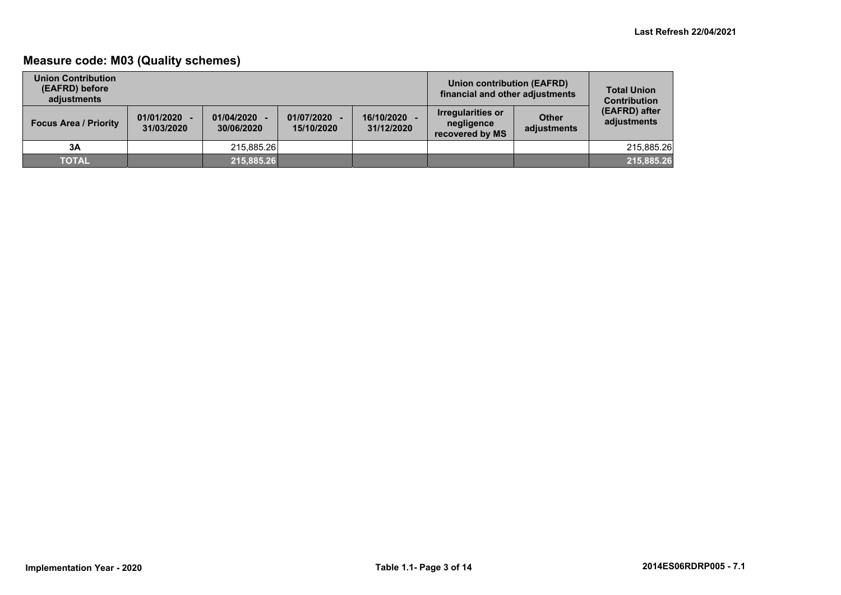## **Measure code: M03 (Quality schemes)**

| <b>Union Contribution</b><br>(EAFRD) before<br>adiustments |                              |                          |                              |                          | Union contribution (EAFRD)<br>financial and other adjustments |                             | <b>Total Union</b><br><b>Contribution</b> |
|------------------------------------------------------------|------------------------------|--------------------------|------------------------------|--------------------------|---------------------------------------------------------------|-----------------------------|-------------------------------------------|
| <b>Focus Area / Priority</b>                               | $01/01/2020 -$<br>31/03/2020 | 01/04/2020<br>30/06/2020 | $01/07/2020 -$<br>15/10/2020 | 16/10/2020<br>31/12/2020 | <b>Irregularities or</b><br>negligence<br>recovered by MS     | <b>Other</b><br>adjustments | (EAFRD) after<br>adjustments              |
| 3A                                                         |                              | 215.885.26               |                              |                          |                                                               |                             | 215.885.26                                |
| <b>TOTAL</b>                                               |                              | 215,885.26               |                              |                          |                                                               |                             | 215,885.26                                |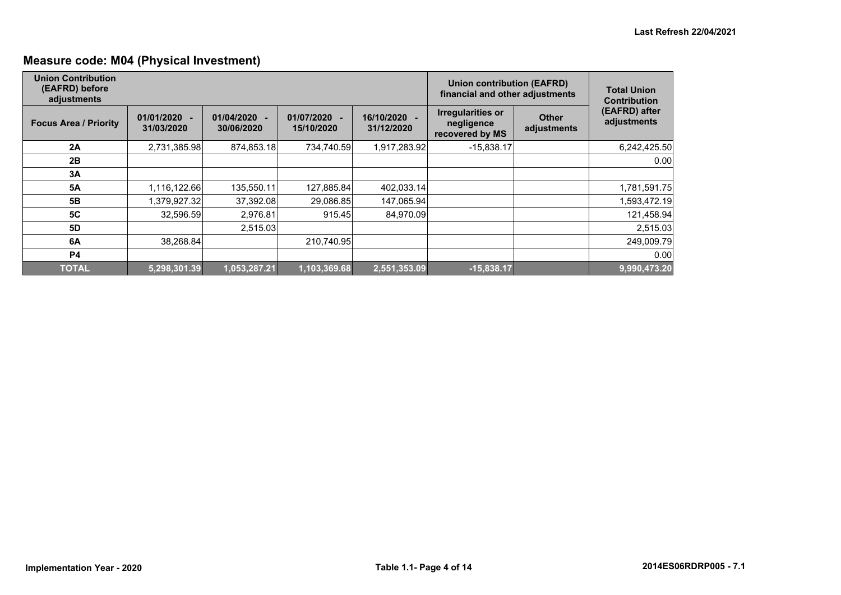## **Measure code: M04 (Physical Investment)**

| <b>Union Contribution</b><br>(EAFRD) before<br>adjustments |                            |                          |                          | Union contribution (EAFRD)<br>financial and other adjustments | <b>Total Union</b><br><b>Contribution</b>                 |                             |                              |  |  |
|------------------------------------------------------------|----------------------------|--------------------------|--------------------------|---------------------------------------------------------------|-----------------------------------------------------------|-----------------------------|------------------------------|--|--|
| <b>Focus Area / Priority</b>                               | 01/01/2020 -<br>31/03/2020 | 01/04/2020<br>30/06/2020 | 01/07/2020<br>15/10/2020 | 16/10/2020 -<br>31/12/2020                                    | <b>Irregularities or</b><br>negligence<br>recovered by MS | <b>Other</b><br>adjustments | (EAFRD) after<br>adjustments |  |  |
| 2A                                                         | 2,731,385.98               | 874,853.18               | 734,740.59               | 1,917,283.92                                                  | $-15,838.17$                                              |                             | 6,242,425.50                 |  |  |
| 2B                                                         |                            |                          |                          |                                                               |                                                           |                             | 0.00                         |  |  |
| 3A                                                         |                            |                          |                          |                                                               |                                                           |                             |                              |  |  |
| <b>5A</b>                                                  | 1,116,122.66               | 135,550.11               | 127,885.84               | 402,033.14                                                    |                                                           |                             | 1,781,591.75                 |  |  |
| 5 <b>B</b>                                                 | 1,379,927.32               | 37,392.08                | 29,086.85                | 147,065.94                                                    |                                                           |                             | 1,593,472.19                 |  |  |
| 5C                                                         | 32,596.59                  | 2,976.81                 | 915.45                   | 84,970.09                                                     |                                                           |                             | 121,458.94                   |  |  |
| 5D                                                         |                            | 2,515.03                 |                          |                                                               |                                                           |                             | 2,515.03                     |  |  |
| 6A                                                         | 38,268.84                  |                          | 210.740.95               |                                                               |                                                           |                             | 249,009.79                   |  |  |
| <b>P4</b>                                                  |                            |                          |                          |                                                               |                                                           |                             | 0.00                         |  |  |
| <b>TOTAL</b>                                               | 5,298,301.39               | 1,053,287.21             | 1,103,369.68             | 2,551,353.09                                                  | $-15,838.17$                                              |                             | 9,990,473.20                 |  |  |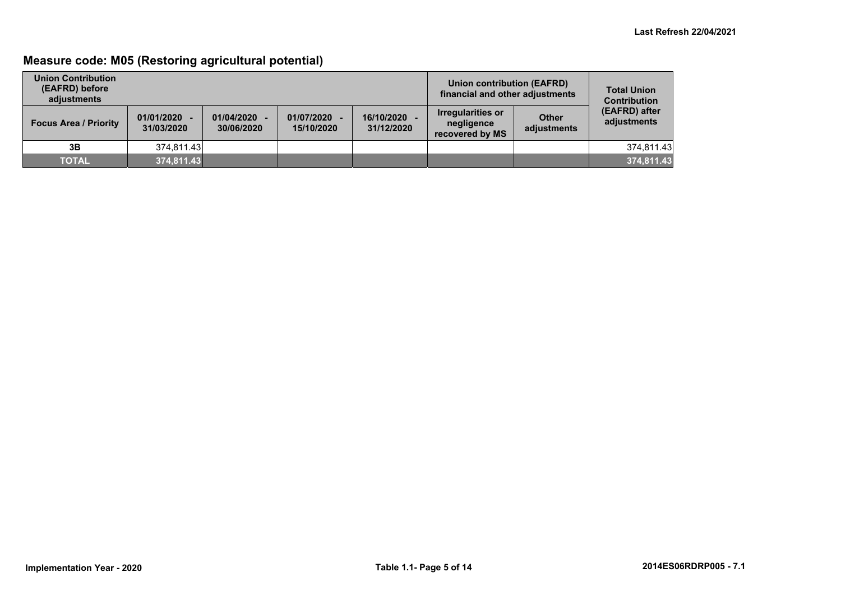## **Measure code: M05 (Restoring agricultural potential)**

| <b>Union Contribution</b><br>(EAFRD) before<br>adiustments |                              |                          |                            | Union contribution (EAFRD)<br>financial and other adjustments | <b>Total Union</b><br><b>Contribution</b>          |                             |                              |
|------------------------------------------------------------|------------------------------|--------------------------|----------------------------|---------------------------------------------------------------|----------------------------------------------------|-----------------------------|------------------------------|
| <b>Focus Area / Priority</b>                               | $01/01/2020 -$<br>31/03/2020 | 01/04/2020<br>30/06/2020 | 01/07/2020 -<br>15/10/2020 | 16/10/2020<br>31/12/2020                                      | Irregularities or<br>negligence<br>recovered by MS | <b>Other</b><br>adjustments | (EAFRD) after<br>adjustments |
| 3B                                                         | 374.811.43                   |                          |                            |                                                               |                                                    |                             | 374.811.43                   |
| <b>TOTAL</b>                                               | 374,811.43                   |                          |                            |                                                               |                                                    |                             | 374,811.43                   |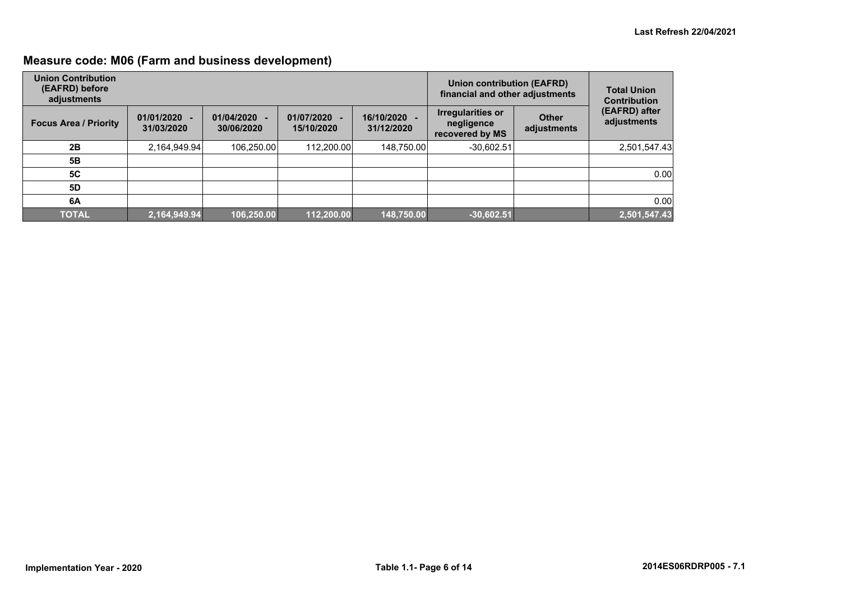## **Measure code: M06 (Farm and business development)**

| <b>Union Contribution</b><br>(EAFRD) before<br>adjustments |                              |                          |                          | Union contribution (EAFRD)<br>financial and other adjustments | <b>Total Union</b><br><b>Contribution</b>                 |                             |                              |
|------------------------------------------------------------|------------------------------|--------------------------|--------------------------|---------------------------------------------------------------|-----------------------------------------------------------|-----------------------------|------------------------------|
| <b>Focus Area / Priority</b>                               | $01/01/2020 -$<br>31/03/2020 | 01/04/2020<br>30/06/2020 | 01/07/2020<br>15/10/2020 | 16/10/2020 -<br>31/12/2020                                    | <b>Irregularities or</b><br>negligence<br>recovered by MS | <b>Other</b><br>adjustments | (EAFRD) after<br>adjustments |
| 2B                                                         | 2,164,949.94                 | 106,250.00               | 112.200.00               | 148,750.00                                                    | $-30.602.51$                                              |                             | 2,501,547.43                 |
| 5B                                                         |                              |                          |                          |                                                               |                                                           |                             |                              |
| <b>5C</b>                                                  |                              |                          |                          |                                                               |                                                           |                             | 0.00                         |
| 5D                                                         |                              |                          |                          |                                                               |                                                           |                             |                              |
| 6A                                                         |                              |                          |                          |                                                               |                                                           |                             | 0.00                         |
| <b>TOTAL</b>                                               | 2,164,949.94                 | 106,250.00               | 112.200.00               | 148,750.00                                                    | $-30,602.51$                                              |                             | 2,501,547.43                 |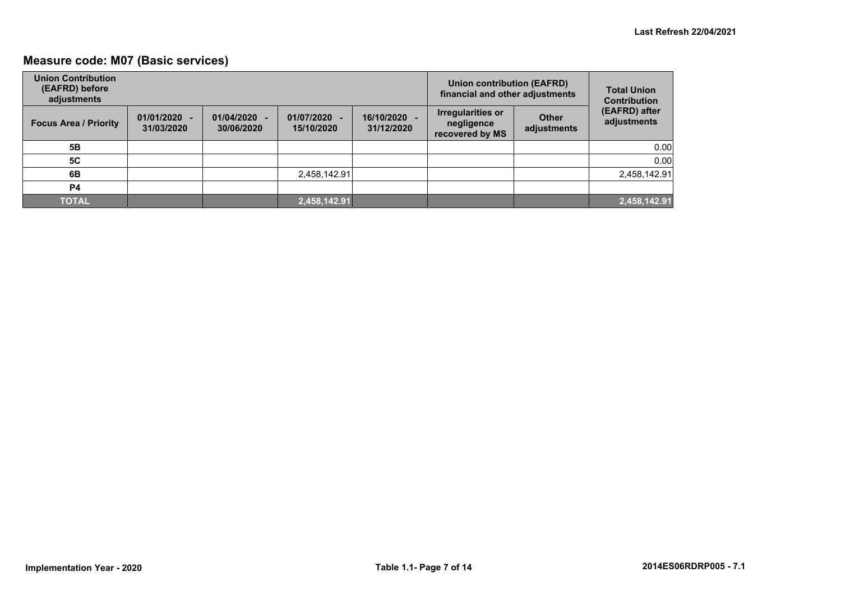## **Measure code: M07 (Basic services)**

| <b>Union Contribution</b><br>(EAFRD) before<br>adjustments |                              |                          |                            | <b>Union contribution (EAFRD)</b><br>financial and other adjustments | <b>Total Union</b><br><b>Contribution</b>          |                             |                              |
|------------------------------------------------------------|------------------------------|--------------------------|----------------------------|----------------------------------------------------------------------|----------------------------------------------------|-----------------------------|------------------------------|
| <b>Focus Area / Priority</b>                               | $01/01/2020 -$<br>31/03/2020 | 01/04/2020<br>30/06/2020 | 01/07/2020 -<br>15/10/2020 | 16/10/2020 -<br>31/12/2020                                           | Irregularities or<br>negligence<br>recovered by MS | <b>Other</b><br>adjustments | (EAFRD) after<br>adjustments |
| 5Β                                                         |                              |                          |                            |                                                                      |                                                    |                             | 0.00                         |
| <b>5C</b>                                                  |                              |                          |                            |                                                                      |                                                    |                             | 0.00                         |
| 6B                                                         |                              |                          | 2,458,142.91               |                                                                      |                                                    |                             | 2,458,142.91                 |
| P <sub>4</sub>                                             |                              |                          |                            |                                                                      |                                                    |                             |                              |
| <b>TOTAL</b>                                               |                              |                          | 2,458,142.91               |                                                                      |                                                    |                             | 2,458,142.91                 |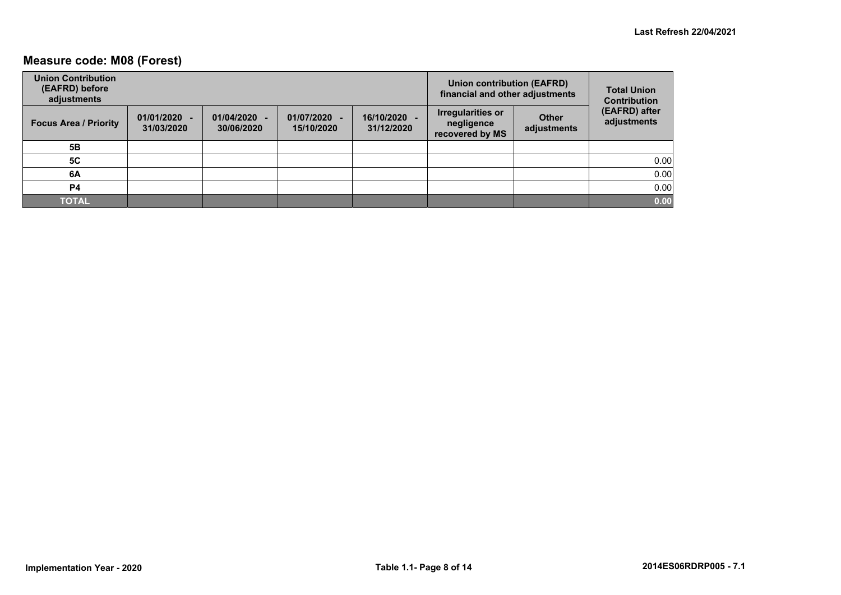## **Measure code: M08 (Forest)**

| <b>Union Contribution</b><br>(EAFRD) before<br>adjustments |                              |                          |                            |                            | Union contribution (EAFRD)<br>financial and other adjustments |                             | <b>Total Union</b><br><b>Contribution</b> |
|------------------------------------------------------------|------------------------------|--------------------------|----------------------------|----------------------------|---------------------------------------------------------------|-----------------------------|-------------------------------------------|
| <b>Focus Area / Priority</b>                               | $01/01/2020 -$<br>31/03/2020 | 01/04/2020<br>30/06/2020 | 01/07/2020 -<br>15/10/2020 | 16/10/2020 -<br>31/12/2020 | <b>Irregularities or</b><br>negligence<br>recovered by MS     | <b>Other</b><br>adjustments | (EAFRD) after<br>adjustments              |
| 5Β                                                         |                              |                          |                            |                            |                                                               |                             |                                           |
| <b>5C</b>                                                  |                              |                          |                            |                            |                                                               |                             | 0.00                                      |
| 6A                                                         |                              |                          |                            |                            |                                                               |                             | 0.00                                      |
| P4                                                         |                              |                          |                            |                            |                                                               |                             | 0.00                                      |
| <b>TOTAL</b>                                               |                              |                          |                            |                            |                                                               |                             | 0.00                                      |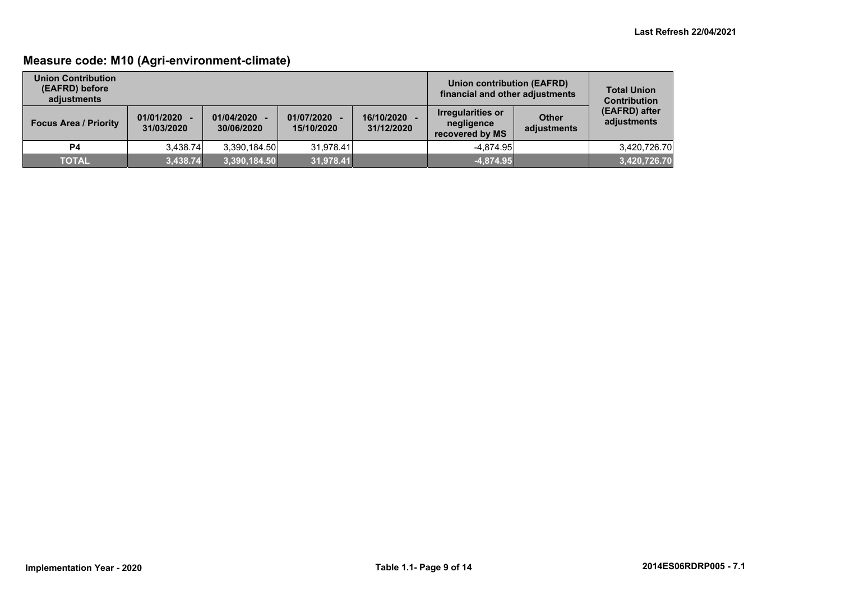## **Measure code: M10 (Agri-environment-climate)**

| <b>Union Contribution</b><br>(EAFRD) before<br>adiustments |                              |                          |                          |                          | Union contribution (EAFRD)<br>financial and other adjustments |                      | <b>Total Union</b><br><b>Contribution</b> |
|------------------------------------------------------------|------------------------------|--------------------------|--------------------------|--------------------------|---------------------------------------------------------------|----------------------|-------------------------------------------|
| <b>Focus Area / Priority</b>                               | $01/01/2020 -$<br>31/03/2020 | 01/04/2020<br>30/06/2020 | 01/07/2020<br>15/10/2020 | 16/10/2020<br>31/12/2020 | Irregularities or<br>negligence<br>recovered by MS            | Other<br>adjustments | (EAFRD) after<br>adjustments              |
| P4                                                         | 3.438.74                     | 3.390.184.50             | 31.978.41                |                          | $-4.874.95$                                                   |                      | 3.420.726.70                              |
| <b>TOTAL</b>                                               | 3,438.74                     | 3,390,184.50             | 31,978.41                |                          | $-4,874.95$                                                   |                      | 3,420,726.70                              |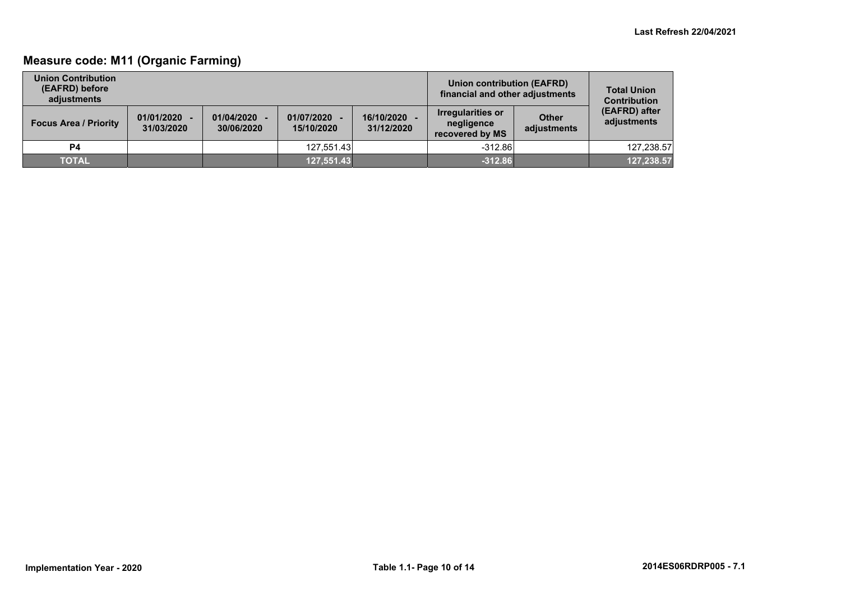## **Measure code: M11 (Organic Farming)**

| <b>Union Contribution</b><br>(EAFRD) before<br>adiustments |                              |                          |                          | Union contribution (EAFRD)<br>financial and other adjustments | <b>Total Union</b><br><b>Contribution</b>          |                             |                              |
|------------------------------------------------------------|------------------------------|--------------------------|--------------------------|---------------------------------------------------------------|----------------------------------------------------|-----------------------------|------------------------------|
| <b>Focus Area / Priority</b>                               | $01/01/2020 -$<br>31/03/2020 | 01/04/2020<br>30/06/2020 | 01/07/2020<br>15/10/2020 | 16/10/2020<br>31/12/2020                                      | Irregularities or<br>negligence<br>recovered by MS | <b>Other</b><br>adjustments | (EAFRD) after<br>adjustments |
| <b>P4</b>                                                  |                              |                          | 127.551.43               |                                                               | $-312.86$                                          |                             | 127.238.57                   |
| <b>TOTAL</b>                                               |                              |                          | 127,551.43               |                                                               | $-312.86$                                          |                             | 127,238.57                   |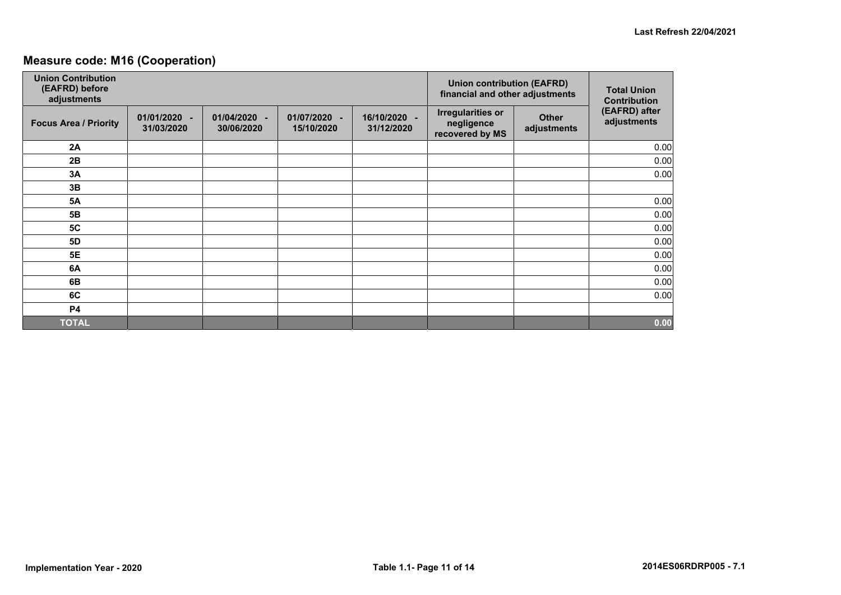## **Measure code: M16 (Cooperation)**

| <b>Union Contribution</b><br>(EAFRD) before<br>adjustments |                            |                                            |                            | <b>Union contribution (EAFRD)</b><br>financial and other adjustments | <b>Total Union</b><br><b>Contribution</b>                 |                             |                              |
|------------------------------------------------------------|----------------------------|--------------------------------------------|----------------------------|----------------------------------------------------------------------|-----------------------------------------------------------|-----------------------------|------------------------------|
| <b>Focus Area / Priority</b>                               | 01/01/2020 -<br>31/03/2020 | 01/04/2020<br>$\blacksquare$<br>30/06/2020 | 01/07/2020 -<br>15/10/2020 | 16/10/2020 -<br>31/12/2020                                           | <b>Irregularities or</b><br>negligence<br>recovered by MS | <b>Other</b><br>adjustments | (EAFRD) after<br>adjustments |
| 2A                                                         |                            |                                            |                            |                                                                      |                                                           |                             | 0.00                         |
| 2B                                                         |                            |                                            |                            |                                                                      |                                                           |                             | 0.00                         |
| 3A                                                         |                            |                                            |                            |                                                                      |                                                           |                             | 0.00                         |
| 3B                                                         |                            |                                            |                            |                                                                      |                                                           |                             |                              |
| <b>5A</b>                                                  |                            |                                            |                            |                                                                      |                                                           |                             | 0.00                         |
| 5B                                                         |                            |                                            |                            |                                                                      |                                                           |                             | 0.00                         |
| 5C                                                         |                            |                                            |                            |                                                                      |                                                           |                             | 0.00                         |
| <b>5D</b>                                                  |                            |                                            |                            |                                                                      |                                                           |                             | 0.00                         |
| <b>5E</b>                                                  |                            |                                            |                            |                                                                      |                                                           |                             | 0.00                         |
| 6A                                                         |                            |                                            |                            |                                                                      |                                                           |                             | 0.00                         |
| 6B                                                         |                            |                                            |                            |                                                                      |                                                           |                             | 0.00                         |
| 6C                                                         |                            |                                            |                            |                                                                      |                                                           |                             | 0.00                         |
| <b>P4</b>                                                  |                            |                                            |                            |                                                                      |                                                           |                             |                              |
| <b>TOTAL</b>                                               |                            |                                            |                            |                                                                      |                                                           |                             | 0.00                         |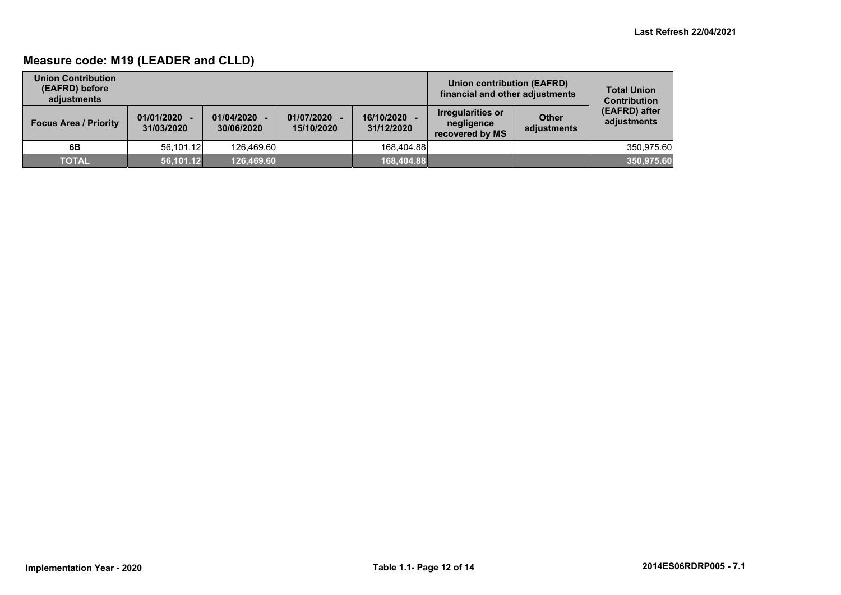## **Measure code: M19 (LEADER and CLLD)**

| <b>Union Contribution</b><br>(EAFRD) before<br>adjustments |                              |                          |                              | Union contribution (EAFRD)<br>financial and other adjustments | <b>Total Union</b><br><b>Contribution</b>          |                             |                              |
|------------------------------------------------------------|------------------------------|--------------------------|------------------------------|---------------------------------------------------------------|----------------------------------------------------|-----------------------------|------------------------------|
| <b>Focus Area / Priority</b>                               | $01/01/2020 -$<br>31/03/2020 | 01/04/2020<br>30/06/2020 | $01/07/2020 -$<br>15/10/2020 | 16/10/2020<br>31/12/2020                                      | Irregularities or<br>negligence<br>recovered by MS | <b>Other</b><br>adjustments | (EAFRD) after<br>adjustments |
| 6B                                                         | 56.101.12                    | 126.469.60               |                              | 168.404.88                                                    |                                                    |                             | 350.975.60                   |
| <b>TOTAL</b>                                               | 56,101.12                    | 126,469.60               |                              | 168,404.88                                                    |                                                    |                             | 350,975.60                   |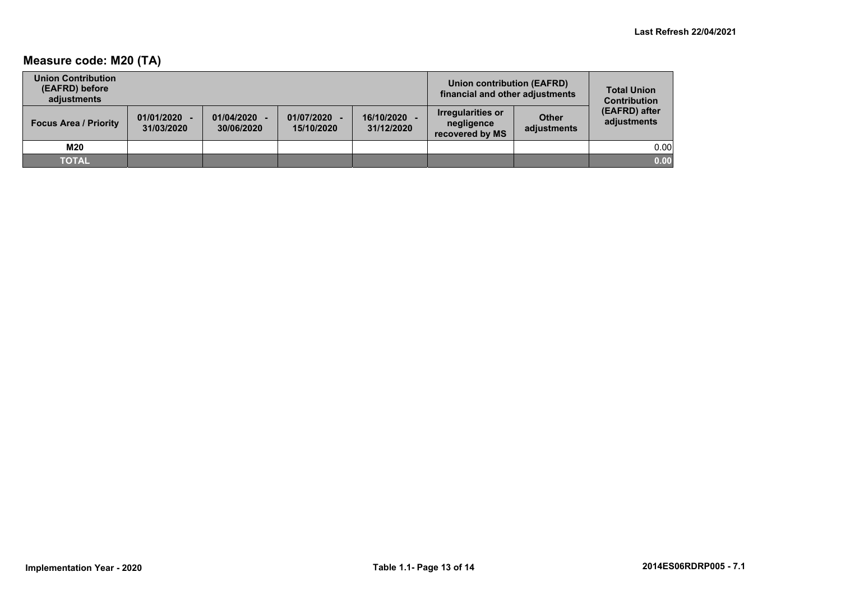## **Measure code: M20 (TA)**

| <b>Union Contribution</b><br>(EAFRD) before<br>adjustments |                              |                          |                            |                          | Union contribution (EAFRD)<br>financial and other adjustments |                             | <b>Total Union</b><br><b>Contribution</b> |
|------------------------------------------------------------|------------------------------|--------------------------|----------------------------|--------------------------|---------------------------------------------------------------|-----------------------------|-------------------------------------------|
| <b>Focus Area / Priority</b>                               | $01/01/2020 -$<br>31/03/2020 | 01/04/2020<br>30/06/2020 | 01/07/2020 -<br>15/10/2020 | 16/10/2020<br>31/12/2020 | <b>Irregularities or</b><br>negligence<br>recovered by MS     | <b>Other</b><br>adjustments | (EAFRD) after<br>adjustments              |
| M20                                                        |                              |                          |                            |                          |                                                               |                             | 0.00                                      |
| <b>TOTAL</b>                                               |                              |                          |                            |                          |                                                               |                             | 0.00                                      |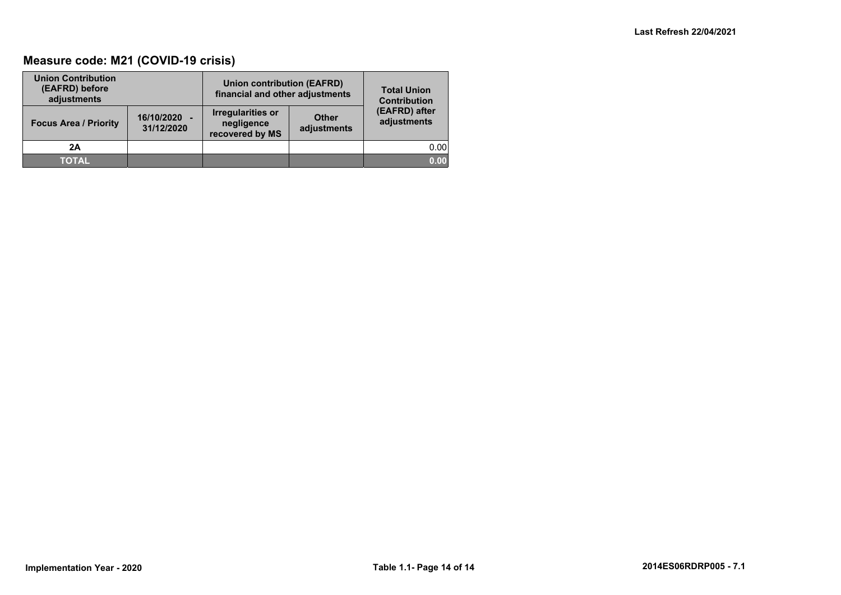## **Measure code: M21 (COVID-19 crisis)**

| <b>Union Contribution</b><br>(EAFRD) before<br>adjustments |                            | <b>Union contribution (EAFRD)</b><br>financial and other adjustments |                             | <b>Total Union</b><br><b>Contribution</b> |  |
|------------------------------------------------------------|----------------------------|----------------------------------------------------------------------|-----------------------------|-------------------------------------------|--|
| <b>Focus Area / Priority</b>                               | 16/10/2020 -<br>31/12/2020 | <b>Irregularities or</b><br>negligence<br>recovered by MS            | <b>Other</b><br>adjustments | (EAFRD) after<br>adjustments              |  |
| 2A                                                         |                            |                                                                      |                             | 0.00                                      |  |
| <b>TOTAL</b>                                               |                            |                                                                      |                             | 0.00                                      |  |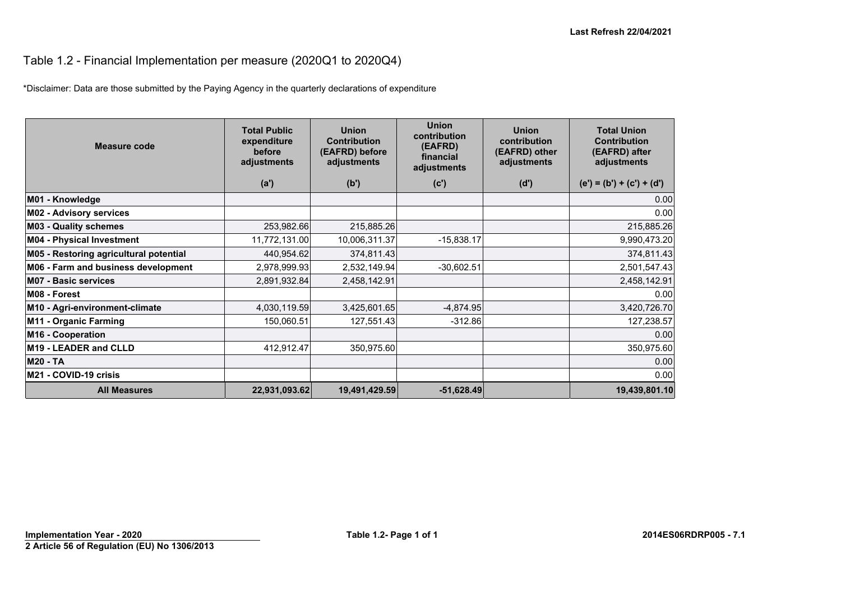## Table 1.2 - Financial Implementation per measure (2020Q1 to 2020Q4)

\*Disclaimer: Data are those submitted by the Paying Agency in the quarterly declarations of expenditure

| Measure code                           | <b>Total Public</b><br>expenditure<br>before<br>adjustments | <b>Union</b><br><b>Contribution</b><br>(EAFRD) before<br>adjustments | <b>Union</b><br>contribution<br>(EAFRD)<br>financial<br>adjustments | <b>Union</b><br>contribution<br>(EAFRD) other<br>adjustments | <b>Total Union</b><br><b>Contribution</b><br>(EAFRD) after<br>adjustments |
|----------------------------------------|-------------------------------------------------------------|----------------------------------------------------------------------|---------------------------------------------------------------------|--------------------------------------------------------------|---------------------------------------------------------------------------|
|                                        | (a')                                                        | (b')                                                                 | (c')                                                                | (d')                                                         | $(e') = (b') + (c') + (d')$                                               |
| M01 - Knowledge                        |                                                             |                                                                      |                                                                     |                                                              | 0.00                                                                      |
| <b>M02 - Advisory services</b>         |                                                             |                                                                      |                                                                     |                                                              | 0.00                                                                      |
| <b>M03 - Quality schemes</b>           | 253,982.66                                                  | 215,885.26                                                           |                                                                     |                                                              | 215,885.26                                                                |
| <b>M04 - Physical Investment</b>       | 11,772,131.00                                               | 10,006,311.37                                                        | $-15,838.17$                                                        |                                                              | 9,990,473.20                                                              |
| M05 - Restoring agricultural potential | 440,954.62                                                  | 374,811.43                                                           |                                                                     |                                                              | 374,811.43                                                                |
| M06 - Farm and business development    | 2,978,999.93                                                | 2,532,149.94                                                         | $-30,602.51$                                                        |                                                              | 2,501,547.43                                                              |
| <b>M07 - Basic services</b>            | 2,891,932.84                                                | 2,458,142.91                                                         |                                                                     |                                                              | 2,458,142.91                                                              |
| M08 - Forest                           |                                                             |                                                                      |                                                                     |                                                              | 0.00                                                                      |
| M10 - Agri-environment-climate         | 4,030,119.59                                                | 3,425,601.65                                                         | $-4,874.95$                                                         |                                                              | 3,420,726.70                                                              |
| M11 - Organic Farming                  | 150,060.51                                                  | 127,551.43                                                           | $-312.86$                                                           |                                                              | 127,238.57                                                                |
| M16 - Cooperation                      |                                                             |                                                                      |                                                                     |                                                              | 0.00                                                                      |
| M19 - LEADER and CLLD                  | 412,912.47                                                  | 350,975.60                                                           |                                                                     |                                                              | 350,975.60                                                                |
| <b>M20 - TA</b>                        |                                                             |                                                                      |                                                                     |                                                              | 0.00                                                                      |
| M21 - COVID-19 crisis                  |                                                             |                                                                      |                                                                     |                                                              | 0.00                                                                      |
| <b>All Measures</b>                    | 22,931,093.62                                               | 19,491,429.59                                                        | $-51,628.49$                                                        |                                                              | 19,439,801.10                                                             |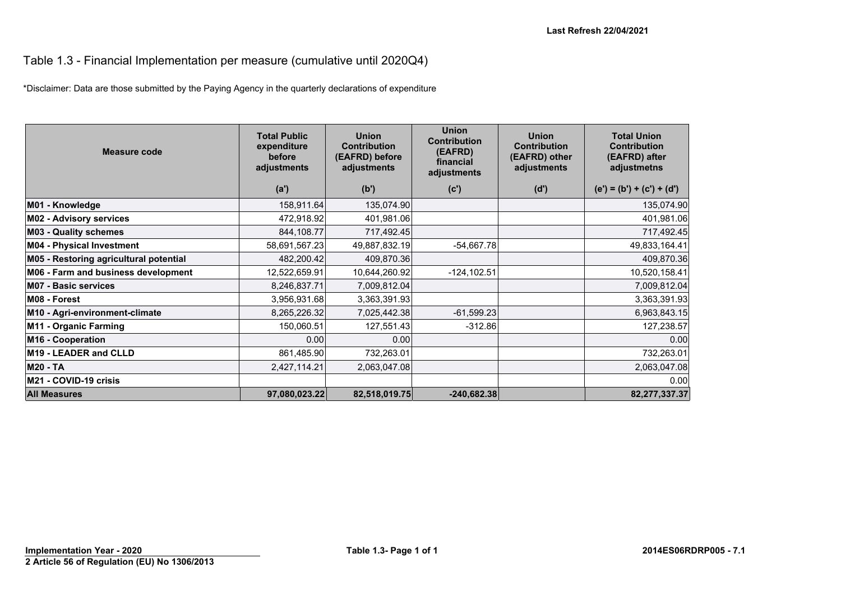#### Table 1.3 - Financial Implementation per measure (cumulative until 2020Q4)

\*Disclaimer: Data are those submitted by the Paying Agency in the quarterly declarations of expenditure

| Measure code                           | <b>Total Public</b><br>expenditure<br>before<br>adjustments<br>(a') | <b>Union</b><br><b>Contribution</b><br>(EAFRD) before<br>adjustments<br>(b') | <b>Union</b><br><b>Contribution</b><br>(EAFRD)<br>financial<br>adjustments<br>(c') | <b>Union</b><br><b>Contribution</b><br>(EAFRD) other<br>adjustments<br>(d') | <b>Total Union</b><br><b>Contribution</b><br>(EAFRD) after<br>adjustmetns<br>$(e') = (b') + (c') + (d')$ |
|----------------------------------------|---------------------------------------------------------------------|------------------------------------------------------------------------------|------------------------------------------------------------------------------------|-----------------------------------------------------------------------------|----------------------------------------------------------------------------------------------------------|
|                                        |                                                                     |                                                                              |                                                                                    |                                                                             |                                                                                                          |
| M01 - Knowledge                        | 158,911.64                                                          | 135,074.90                                                                   |                                                                                    |                                                                             | 135,074.90                                                                                               |
| <b>M02 - Advisory services</b>         | 472,918.92                                                          | 401,981.06                                                                   |                                                                                    |                                                                             | 401,981.06                                                                                               |
| <b>M03 - Quality schemes</b>           | 844,108.77                                                          | 717,492.45                                                                   |                                                                                    |                                                                             | 717,492.45                                                                                               |
| M04 - Physical Investment              | 58,691,567.23                                                       | 49,887,832.19                                                                | $-54,667.78$                                                                       |                                                                             | 49,833,164.41                                                                                            |
| M05 - Restoring agricultural potential | 482,200.42                                                          | 409,870.36                                                                   |                                                                                    |                                                                             | 409,870.36                                                                                               |
| M06 - Farm and business development    | 12,522,659.91                                                       | 10,644,260.92                                                                | $-124, 102.51$                                                                     |                                                                             | 10,520,158.41                                                                                            |
| <b>M07 - Basic services</b>            | 8,246,837.71                                                        | 7,009,812.04                                                                 |                                                                                    |                                                                             | 7,009,812.04                                                                                             |
| M08 - Forest                           | 3,956,931.68                                                        | 3,363,391.93                                                                 |                                                                                    |                                                                             | 3,363,391.93                                                                                             |
| M10 - Agri-environment-climate         | 8,265,226.32                                                        | 7,025,442.38                                                                 | $-61,599.23$                                                                       |                                                                             | 6,963,843.15                                                                                             |
| M11 - Organic Farming                  | 150,060.51                                                          | 127,551.43                                                                   | $-312.86$                                                                          |                                                                             | 127,238.57                                                                                               |
| M16 - Cooperation                      | 0.00                                                                | 0.00                                                                         |                                                                                    |                                                                             | 0.00                                                                                                     |
| <b>M19 - LEADER and CLLD</b>           | 861,485.90                                                          | 732,263.01                                                                   |                                                                                    |                                                                             | 732,263.01                                                                                               |
| <b>M20 - TA</b>                        | 2,427,114.21                                                        | 2,063,047.08                                                                 |                                                                                    |                                                                             | 2,063,047.08                                                                                             |
| M21 - COVID-19 crisis                  |                                                                     |                                                                              |                                                                                    |                                                                             | 0.00                                                                                                     |
| <b>All Measures</b>                    | 97,080,023.22                                                       | 82,518,019.75                                                                | $-240,682.38$                                                                      |                                                                             | 82,277,337.37                                                                                            |